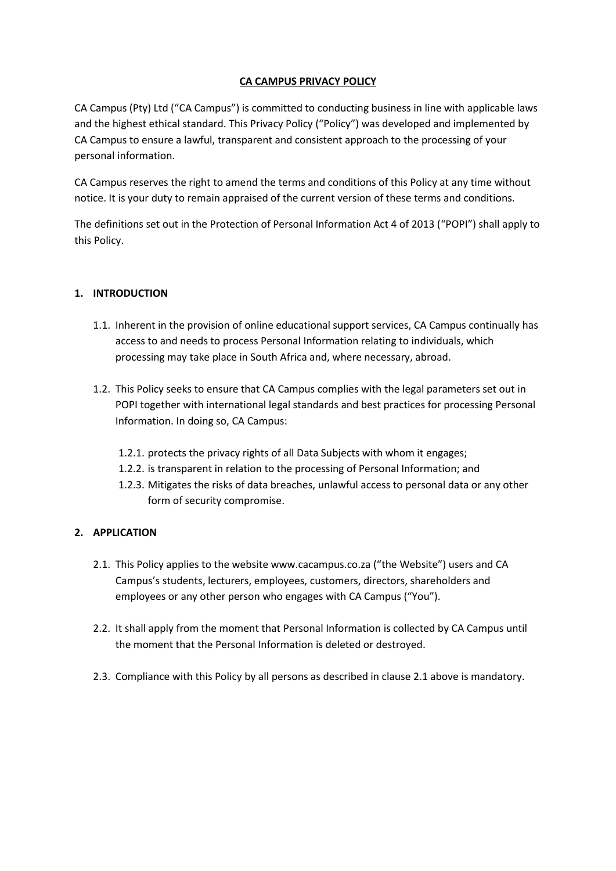### **CA CAMPUS PRIVACY POLICY**

CA Campus (Pty) Ltd ("CA Campus") is committed to conducting business in line with applicable laws and the highest ethical standard. This Privacy Policy ("Policy") was developed and implemented by CA Campus to ensure a lawful, transparent and consistent approach to the processing of your personal information.

CA Campus reserves the right to amend the terms and conditions of this Policy at any time without notice. It is your duty to remain appraised of the current version of these terms and conditions.

The definitions set out in the Protection of Personal Information Act 4 of 2013 ("POPI") shall apply to this Policy.

### **1. INTRODUCTION**

- 1.1. Inherent in the provision of online educational support services, CA Campus continually has access to and needs to process Personal Information relating to individuals, which processing may take place in South Africa and, where necessary, abroad.
- 1.2. This Policy seeks to ensure that CA Campus complies with the legal parameters set out in POPI together with international legal standards and best practices for processing Personal Information. In doing so, CA Campus:
	- 1.2.1. protects the privacy rights of all Data Subjects with whom it engages;
	- 1.2.2. is transparent in relation to the processing of Personal Information; and
	- 1.2.3. Mitigates the risks of data breaches, unlawful access to personal data or any other form of security compromise.

### **2. APPLICATION**

- 2.1. This Policy applies to the website www.cacampus.co.za ("the Website") users and CA Campus's students, lecturers, employees, customers, directors, shareholders and employees or any other person who engages with CA Campus ("You").
- 2.2. It shall apply from the moment that Personal Information is collected by CA Campus until the moment that the Personal Information is deleted or destroyed.
- 2.3. Compliance with this Policy by all persons as described in clause 2.1 above is mandatory.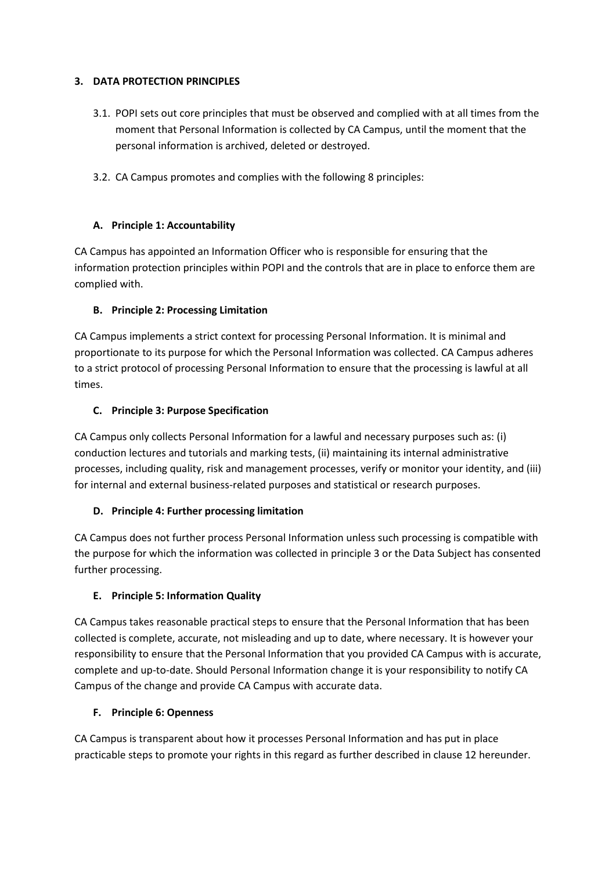### **3. DATA PROTECTION PRINCIPLES**

- 3.1. POPI sets out core principles that must be observed and complied with at all times from the moment that Personal Information is collected by CA Campus, until the moment that the personal information is archived, deleted or destroyed.
- 3.2. CA Campus promotes and complies with the following 8 principles:

# **A. Principle 1: Accountability**

CA Campus has appointed an Information Officer who is responsible for ensuring that the information protection principles within POPI and the controls that are in place to enforce them are complied with.

# **B. Principle 2: Processing Limitation**

CA Campus implements a strict context for processing Personal Information. It is minimal and proportionate to its purpose for which the Personal Information was collected. CA Campus adheres to a strict protocol of processing Personal Information to ensure that the processing is lawful at all times.

# **C. Principle 3: Purpose Specification**

CA Campus only collects Personal Information for a lawful and necessary purposes such as: (i) conduction lectures and tutorials and marking tests, (ii) maintaining its internal administrative processes, including quality, risk and management processes, verify or monitor your identity, and (iii) for internal and external business-related purposes and statistical or research purposes.

# **D. Principle 4: Further processing limitation**

CA Campus does not further process Personal Information unless such processing is compatible with the purpose for which the information was collected in principle 3 or the Data Subject has consented further processing.

# **E. Principle 5: Information Quality**

CA Campus takes reasonable practical steps to ensure that the Personal Information that has been collected is complete, accurate, not misleading and up to date, where necessary. It is however your responsibility to ensure that the Personal Information that you provided CA Campus with is accurate, complete and up-to-date. Should Personal Information change it is your responsibility to notify CA Campus of the change and provide CA Campus with accurate data.

# **F. Principle 6: Openness**

CA Campus is transparent about how it processes Personal Information and has put in place practicable steps to promote your rights in this regard as further described in clause 12 hereunder.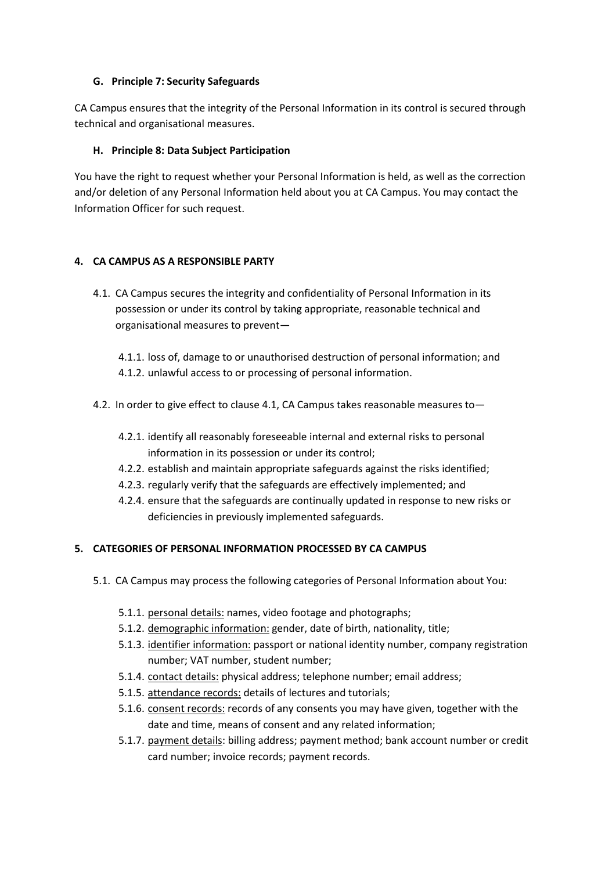### **G. Principle 7: Security Safeguards**

CA Campus ensures that the integrity of the Personal Information in its control is secured through technical and organisational measures.

### **H. Principle 8: Data Subject Participation**

You have the right to request whether your Personal Information is held, as well as the correction and/or deletion of any Personal Information held about you at CA Campus. You may contact the Information Officer for such request.

### **4. CA CAMPUS AS A RESPONSIBLE PARTY**

- 4.1. CA Campus secures the integrity and confidentiality of Personal Information in its possession or under its control by taking appropriate, reasonable technical and organisational measures to prevent—
	- 4.1.1. loss of, damage to or unauthorised destruction of personal information; and 4.1.2. unlawful access to or processing of personal information.
- 4.2. In order to give effect to clause 4.1, CA Campus takes reasonable measures to—
	- 4.2.1. identify all reasonably foreseeable internal and external risks to personal information in its possession or under its control;
	- 4.2.2. establish and maintain appropriate safeguards against the risks identified;
	- 4.2.3. regularly verify that the safeguards are effectively implemented; and
	- 4.2.4. ensure that the safeguards are continually updated in response to new risks or deficiencies in previously implemented safeguards.

### **5. CATEGORIES OF PERSONAL INFORMATION PROCESSED BY CA CAMPUS**

- 5.1. CA Campus may process the following categories of Personal Information about You:
	- 5.1.1. personal details: names, video footage and photographs;
	- 5.1.2. demographic information: gender, date of birth, nationality, title;
	- 5.1.3. identifier information: passport or national identity number, company registration number; VAT number, student number;
	- 5.1.4. contact details: physical address; telephone number; email address;
	- 5.1.5. attendance records: details of lectures and tutorials;
	- 5.1.6. consent records: records of any consents you may have given, together with the date and time, means of consent and any related information;
	- 5.1.7. payment details: billing address; payment method; bank account number or credit card number; invoice records; payment records.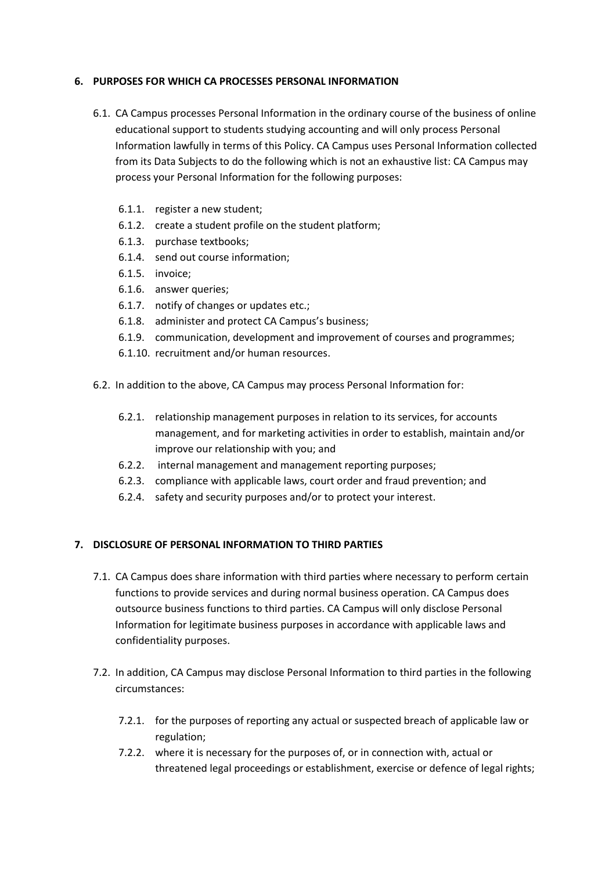#### **6. PURPOSES FOR WHICH CA PROCESSES PERSONAL INFORMATION**

- 6.1. CA Campus processes Personal Information in the ordinary course of the business of online educational support to students studying accounting and will only process Personal Information lawfully in terms of this Policy. CA Campus uses Personal Information collected from its Data Subjects to do the following which is not an exhaustive list: CA Campus may process your Personal Information for the following purposes:
	- 6.1.1. register a new student;
	- 6.1.2. create a student profile on the student platform;
	- 6.1.3. purchase textbooks;
	- 6.1.4. send out course information;
	- 6.1.5. invoice;
	- 6.1.6. answer queries;
	- 6.1.7. notify of changes or updates etc.;
	- 6.1.8. administer and protect CA Campus's business;
	- 6.1.9. communication, development and improvement of courses and programmes;
	- 6.1.10. recruitment and/or human resources.
- 6.2. In addition to the above, CA Campus may process Personal Information for:
	- 6.2.1. relationship management purposes in relation to its services, for accounts management, and for marketing activities in order to establish, maintain and/or improve our relationship with you; and
	- 6.2.2. internal management and management reporting purposes;
	- 6.2.3. compliance with applicable laws, court order and fraud prevention; and
	- 6.2.4. safety and security purposes and/or to protect your interest.

#### **7. DISCLOSURE OF PERSONAL INFORMATION TO THIRD PARTIES**

- 7.1. CA Campus does share information with third parties where necessary to perform certain functions to provide services and during normal business operation. CA Campus does outsource business functions to third parties. CA Campus will only disclose Personal Information for legitimate business purposes in accordance with applicable laws and confidentiality purposes.
- 7.2. In addition, CA Campus may disclose Personal Information to third parties in the following circumstances:
	- 7.2.1. for the purposes of reporting any actual or suspected breach of applicable law or regulation;
	- 7.2.2. where it is necessary for the purposes of, or in connection with, actual or threatened legal proceedings or establishment, exercise or defence of legal rights;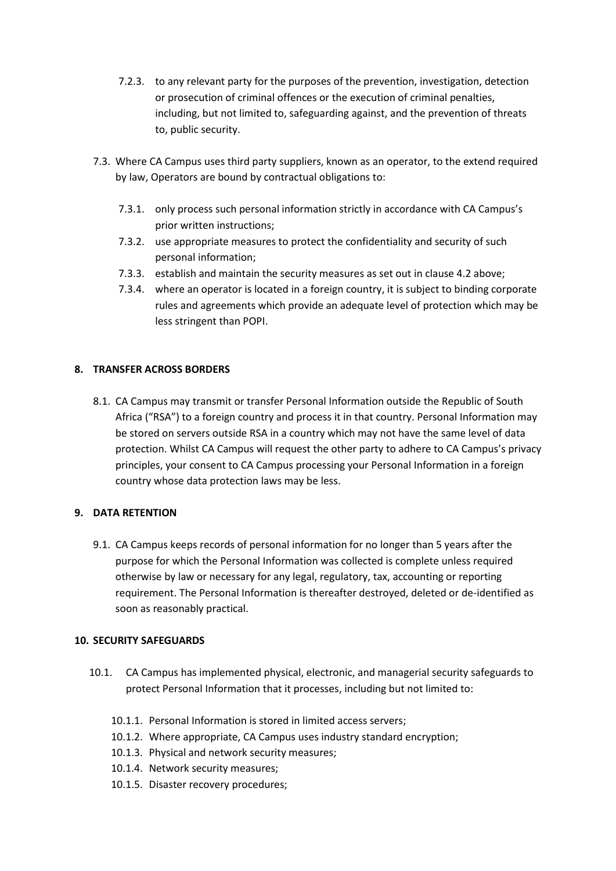- 7.2.3. to any relevant party for the purposes of the prevention, investigation, detection or prosecution of criminal offences or the execution of criminal penalties, including, but not limited to, safeguarding against, and the prevention of threats to, public security.
- 7.3. Where CA Campus uses third party suppliers, known as an operator, to the extend required by law, Operators are bound by contractual obligations to:
	- 7.3.1. only process such personal information strictly in accordance with CA Campus's prior written instructions;
	- 7.3.2. use appropriate measures to protect the confidentiality and security of such personal information;
	- 7.3.3. establish and maintain the security measures as set out in clause 4.2 above;
	- 7.3.4. where an operator is located in a foreign country, it is subject to binding corporate rules and agreements which provide an adequate level of protection which may be less stringent than POPI.

### **8. TRANSFER ACROSS BORDERS**

8.1. CA Campus may transmit or transfer Personal Information outside the Republic of South Africa ("RSA") to a foreign country and process it in that country. Personal Information may be stored on servers outside RSA in a country which may not have the same level of data protection. Whilst CA Campus will request the other party to adhere to CA Campus's privacy principles, your consent to CA Campus processing your Personal Information in a foreign country whose data protection laws may be less.

### **9. DATA RETENTION**

9.1. CA Campus keeps records of personal information for no longer than 5 years after the purpose for which the Personal Information was collected is complete unless required otherwise by law or necessary for any legal, regulatory, tax, accounting or reporting requirement. The Personal Information is thereafter destroyed, deleted or de-identified as soon as reasonably practical.

### **10. SECURITY SAFEGUARDS**

- 10.1. CA Campus has implemented physical, electronic, and managerial security safeguards to protect Personal Information that it processes, including but not limited to:
	- 10.1.1. Personal Information is stored in limited access servers;
	- 10.1.2. Where appropriate, CA Campus uses industry standard encryption;
	- 10.1.3. Physical and network security measures;
	- 10.1.4. Network security measures;
	- 10.1.5. Disaster recovery procedures;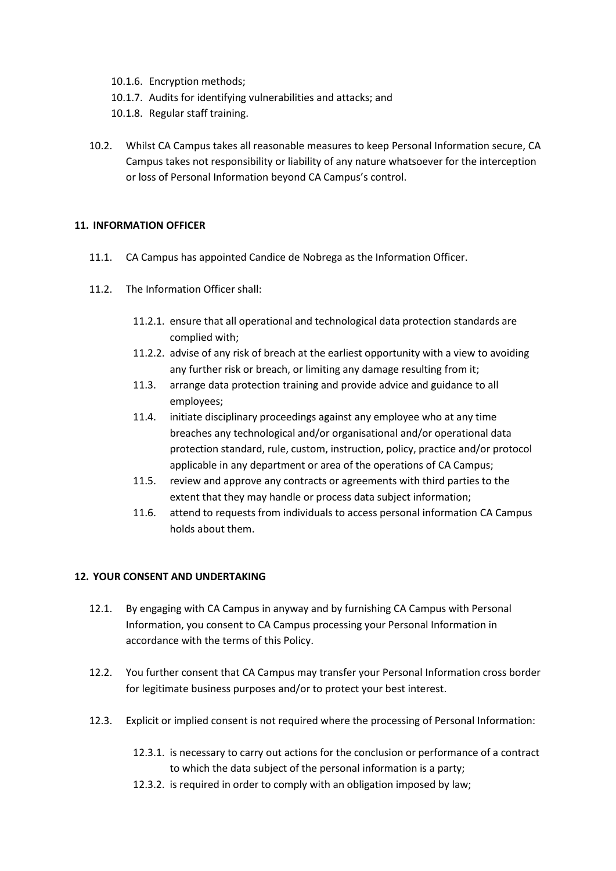- 10.1.6. Encryption methods;
- 10.1.7. Audits for identifying vulnerabilities and attacks; and
- 10.1.8. Regular staff training.
- 10.2. Whilst CA Campus takes all reasonable measures to keep Personal Information secure, CA Campus takes not responsibility or liability of any nature whatsoever for the interception or loss of Personal Information beyond CA Campus's control.

### **11. INFORMATION OFFICER**

- 11.1. CA Campus has appointed Candice de Nobrega as the Information Officer.
- 11.2. The Information Officer shall:
	- 11.2.1. ensure that all operational and technological data protection standards are complied with;
	- 11.2.2. advise of any risk of breach at the earliest opportunity with a view to avoiding any further risk or breach, or limiting any damage resulting from it;
	- 11.3. arrange data protection training and provide advice and guidance to all employees;
	- 11.4. initiate disciplinary proceedings against any employee who at any time breaches any technological and/or organisational and/or operational data protection standard, rule, custom, instruction, policy, practice and/or protocol applicable in any department or area of the operations of CA Campus;
	- 11.5. review and approve any contracts or agreements with third parties to the extent that they may handle or process data subject information;
	- 11.6. attend to requests from individuals to access personal information CA Campus holds about them.

#### **12. YOUR CONSENT AND UNDERTAKING**

- 12.1. By engaging with CA Campus in anyway and by furnishing CA Campus with Personal Information, you consent to CA Campus processing your Personal Information in accordance with the terms of this Policy.
- 12.2. You further consent that CA Campus may transfer your Personal Information cross border for legitimate business purposes and/or to protect your best interest.
- 12.3. Explicit or implied consent is not required where the processing of Personal Information:
	- 12.3.1. is necessary to carry out actions for the conclusion or performance of a contract to which the data subject of the personal information is a party;
	- 12.3.2. is required in order to comply with an obligation imposed by law;